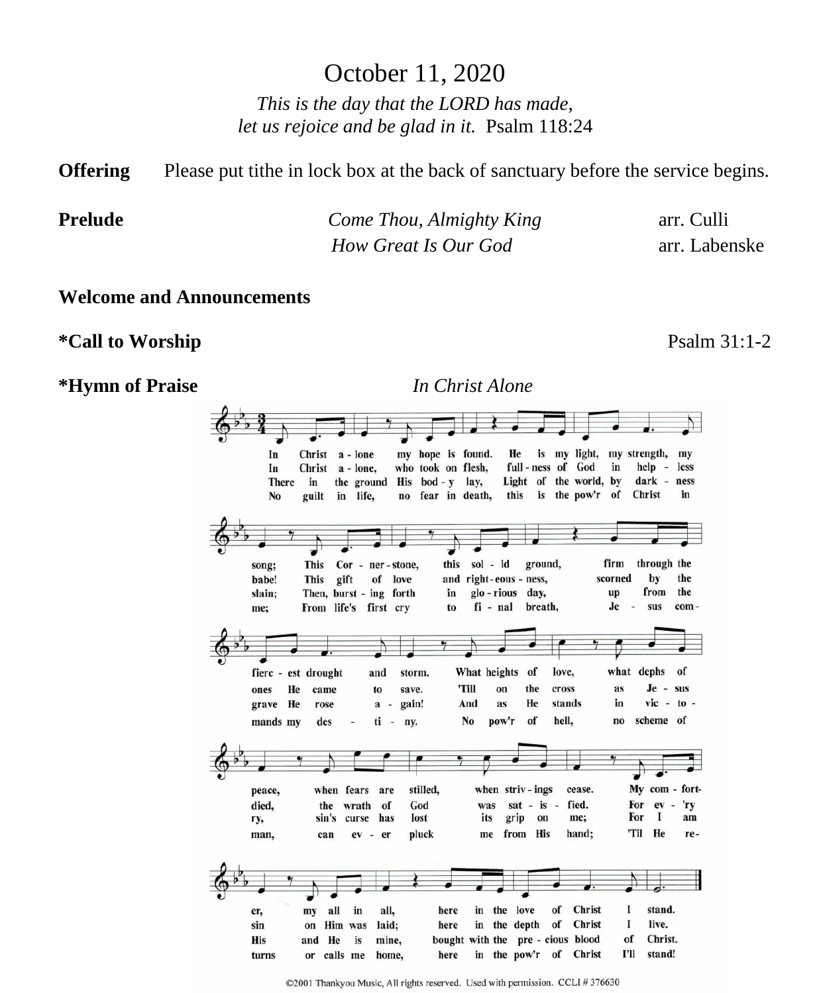# October 11, 2020

*This is the day that the LORD has made, let us rejoice and be glad in it.* Psalm 118:24

**Offering** Please put tithe in lock box at the back of sanctuary before the service begins.

**Prelude** *Come Thou, Almighty King* arr. Culli *How Great Is Our God* arr. Labenske

#### **Welcome and Announcements**

**\*Call to Worship** Psalm 31:1-2

**\*Hymn of Praise** *In Christ Alone*



©2001 Thankyou Music, All rights reserved. Used with permission. CCLI #376630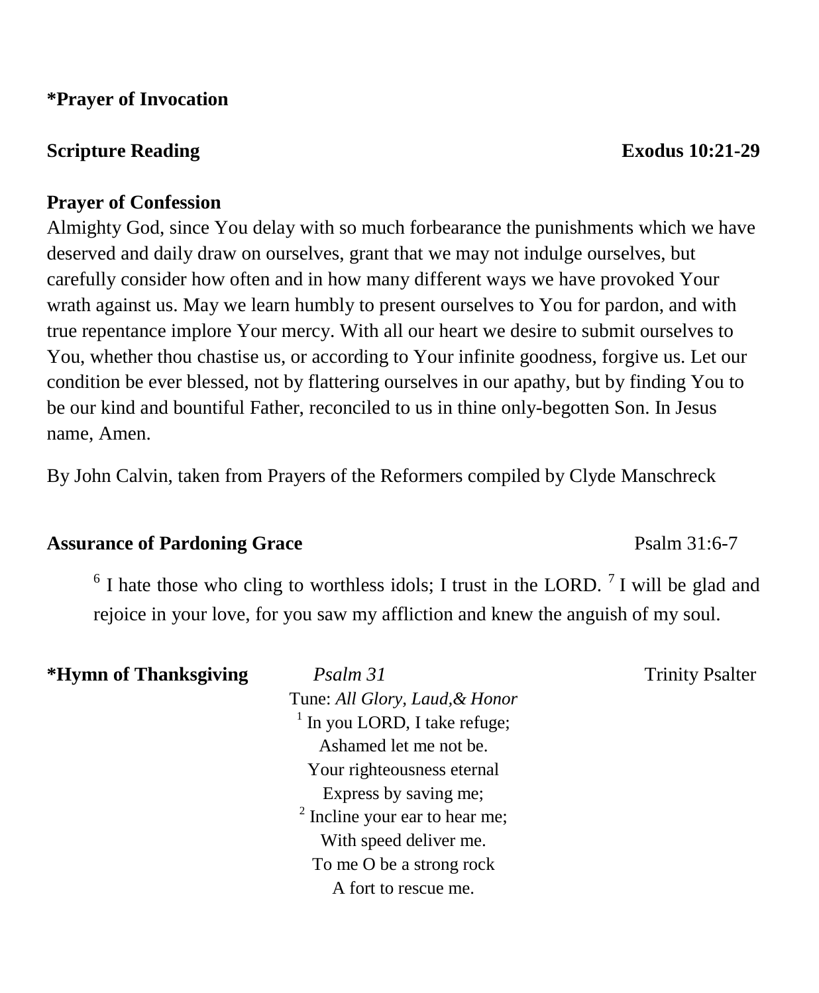### **\*Prayer of Invocation**

# **Scripture Reading Exodus 10:21-29**

## **Prayer of Confession**

Almighty God, since You delay with so much forbearance the punishments which we have deserved and daily draw on ourselves, grant that we may not indulge ourselves, but carefully consider how often and in how many different ways we have provoked Your wrath against us. May we learn humbly to present ourselves to You for pardon, and with true repentance implore Your mercy. With all our heart we desire to submit ourselves to You, whether thou chastise us, or according to Your infinite goodness, forgive us. Let our condition be ever blessed, not by flattering ourselves in our apathy, but by finding You to be our kind and bountiful Father, reconciled to us in thine only-begotten Son. In Jesus name, Amen.

By John Calvin, taken from Prayers of the Reformers compiled by Clyde Manschreck

# Assurance of Pardoning Grace **Property** Psalm 31:6-7

 $6$  I hate those who cling to worthless idols; I trust in the LORD.  $7$  I will be glad and rejoice in your love, for you saw my affliction and knew the anguish of my soul.

| *Hymn of Thanksgiving | Psalm 31                                  | <b>Trinity Psalter</b> |
|-----------------------|-------------------------------------------|------------------------|
|                       | Tune: All Glory, Laud, & Honor            |                        |
|                       | $1$ In you LORD, I take refuge;           |                        |
|                       | Ashamed let me not be.                    |                        |
|                       | Your righteousness eternal                |                        |
|                       | Express by saving me;                     |                        |
|                       | <sup>2</sup> Incline your ear to hear me; |                        |
|                       | With speed deliver me.                    |                        |
|                       | To me O be a strong rock                  |                        |
|                       | A fort to rescue me.                      |                        |
|                       |                                           |                        |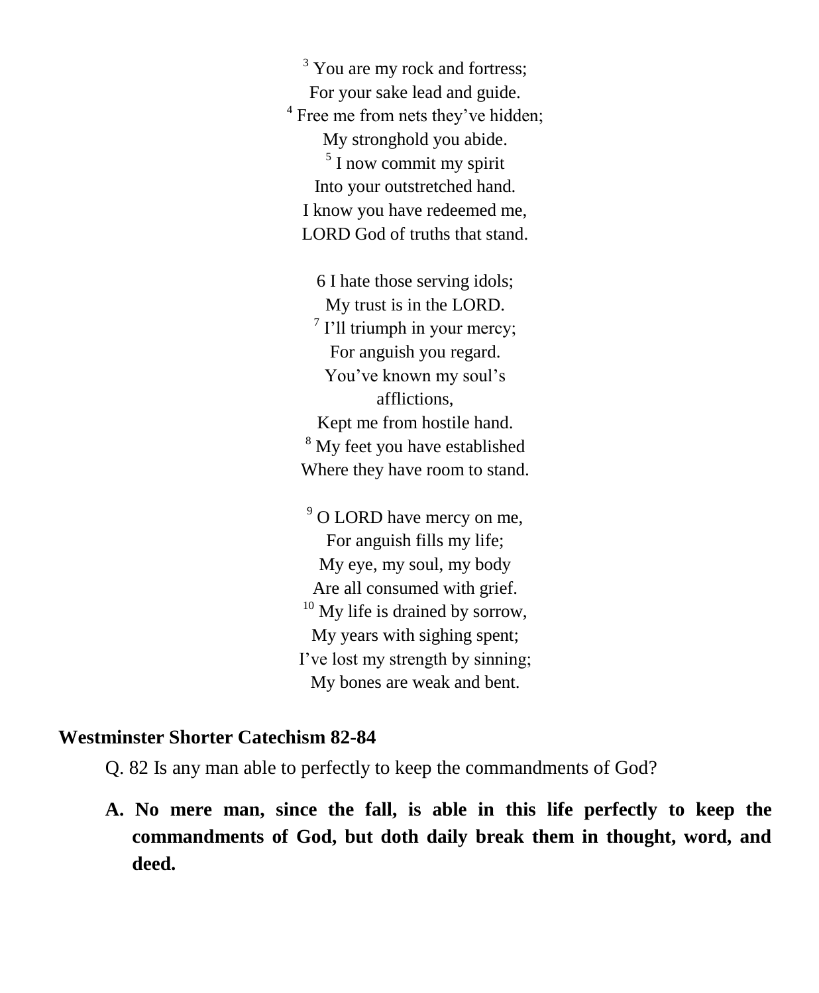<sup>3</sup> You are my rock and fortress: For your sake lead and guide. <sup>4</sup> Free me from nets they've hidden; My stronghold you abide. <sup>5</sup> I now commit my spirit Into your outstretched hand. I know you have redeemed me, LORD God of truths that stand.

6 I hate those serving idols; My trust is in the LORD.  $7$  I'll triumph in your mercy; For anguish you regard. You've known my soul's afflictions, Kept me from hostile hand. <sup>8</sup> My feet you have established Where they have room to stand.

<sup>9</sup> O LORD have mercy on me, For anguish fills my life; My eye, my soul, my body Are all consumed with grief.  $10$  My life is drained by sorrow, My years with sighing spent; I've lost my strength by sinning; My bones are weak and bent.

#### **Westminster Shorter Catechism 82-84**

Q. 82 Is any man able to perfectly to keep the commandments of God?

**A. No mere man, since the fall, is able in this life perfectly to keep the commandments of God, but doth daily break them in thought, word, and deed.**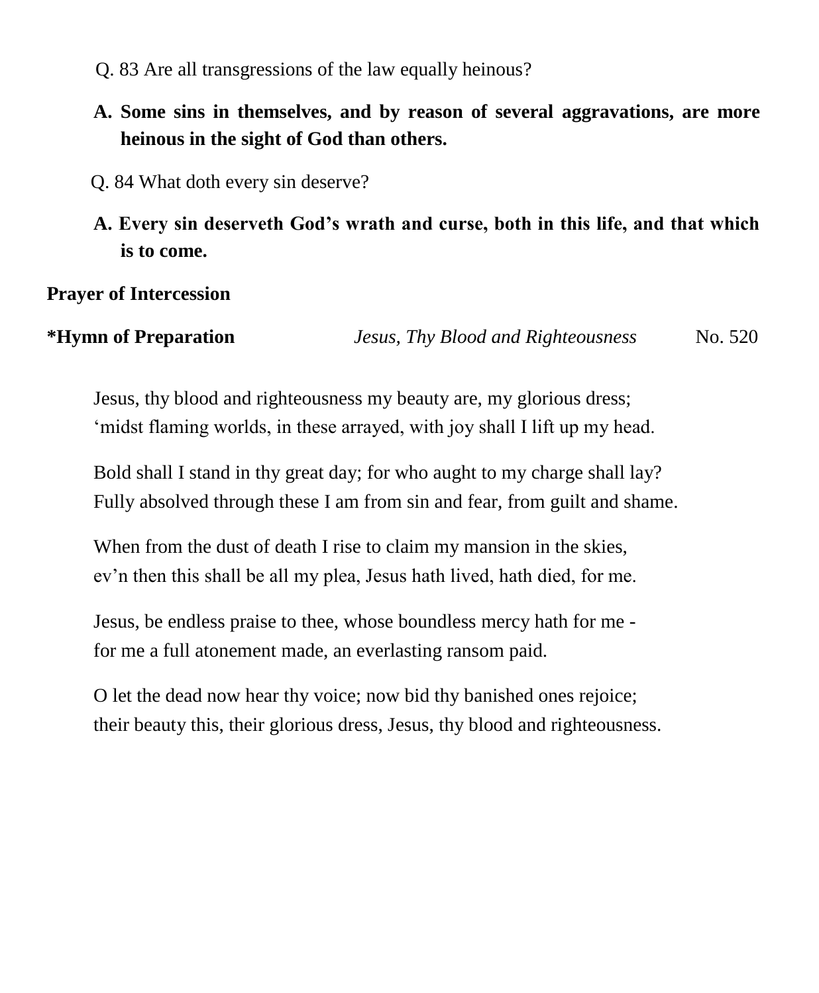- Q. 83 Are all transgressions of the law equally heinous?
- **A. Some sins in themselves, and by reason of several aggravations, are more heinous in the sight of God than others.**
- Q. 84 What doth every sin deserve?
- **A. Every sin deserveth God's wrath and curse, both in this life, and that which is to come.**

# **Prayer of Intercession**

**\*Hymn of Preparation** *Jesus, Thy Blood and Righteousness* No. 520

Jesus, thy blood and righteousness my beauty are, my glorious dress; 'midst flaming worlds, in these arrayed, with joy shall I lift up my head.

Bold shall I stand in thy great day; for who aught to my charge shall lay? Fully absolved through these I am from sin and fear, from guilt and shame.

When from the dust of death I rise to claim my mansion in the skies, ev'n then this shall be all my plea, Jesus hath lived, hath died, for me.

Jesus, be endless praise to thee, whose boundless mercy hath for me for me a full atonement made, an everlasting ransom paid.

O let the dead now hear thy voice; now bid thy banished ones rejoice; their beauty this, their glorious dress, Jesus, thy blood and righteousness.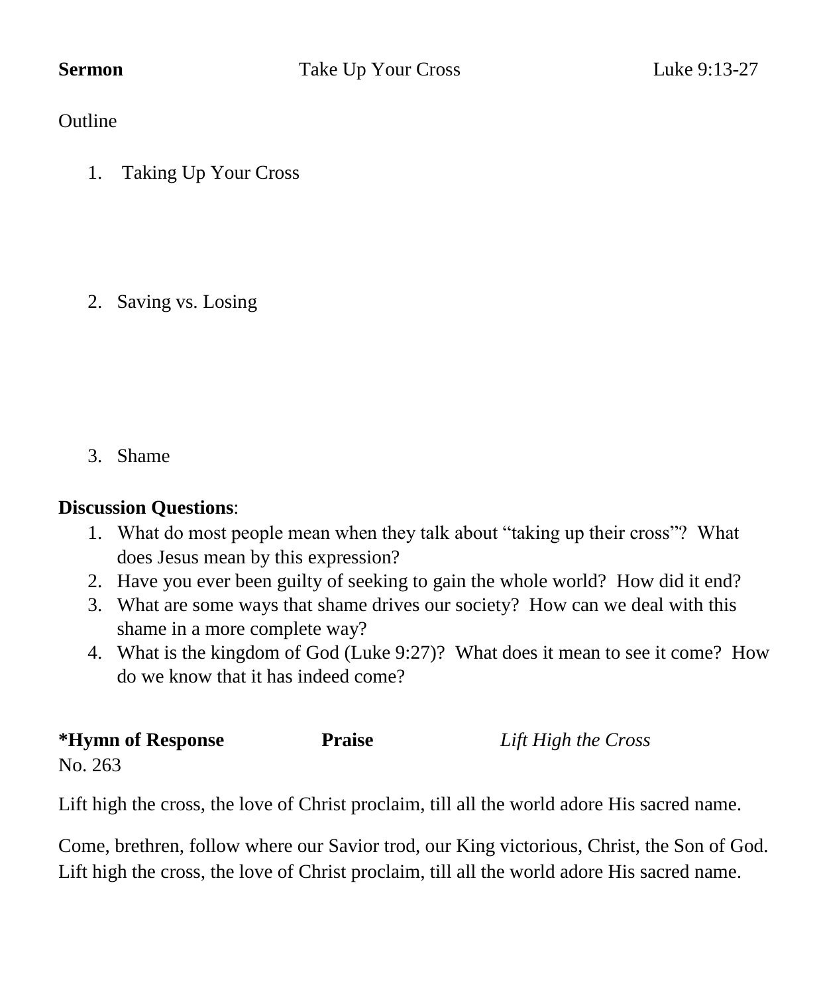**Outline** 

1. Taking Up Your Cross

2. Saving vs. Losing

3. Shame

# **Discussion Questions**:

- 1. What do most people mean when they talk about "taking up their cross"? What does Jesus mean by this expression?
- 2. Have you ever been guilty of seeking to gain the whole world? How did it end?
- 3. What are some ways that shame drives our society? How can we deal with this shame in a more complete way?
- 4. What is the kingdom of God (Luke 9:27)? What does it mean to see it come? How do we know that it has indeed come?

| *Hymn of Response | <b>Praise</b> | Lift High the Cross |
|-------------------|---------------|---------------------|
| No. 263           |               |                     |

Lift high the cross, the love of Christ proclaim, till all the world adore His sacred name.

Come, brethren, follow where our Savior trod, our King victorious, Christ, the Son of God. Lift high the cross, the love of Christ proclaim, till all the world adore His sacred name.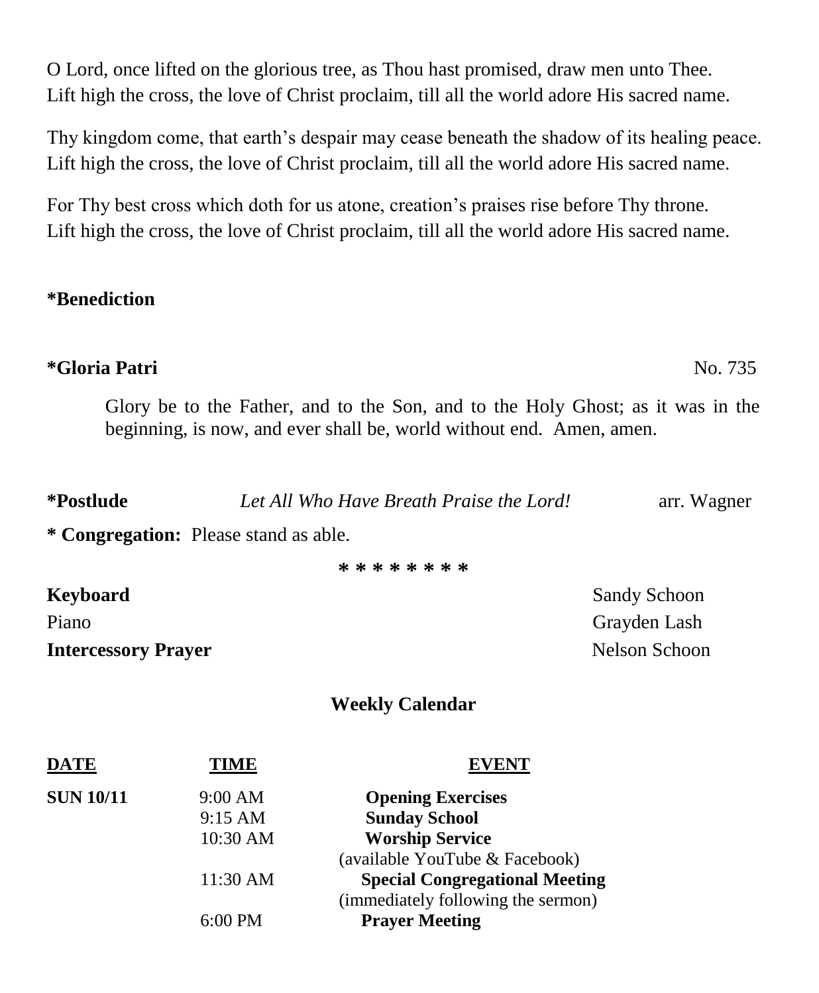O Lord, once lifted on the glorious tree, as Thou hast promised, draw men unto Thee. Lift high the cross, the love of Christ proclaim, till all the world adore His sacred name.

Thy kingdom come, that earth's despair may cease beneath the shadow of its healing peace. Lift high the cross, the love of Christ proclaim, till all the world adore His sacred name.

For Thy best cross which doth for us atone, creation's praises rise before Thy throne. Lift high the cross, the love of Christ proclaim, till all the world adore His sacred name.

# **\*Benediction**

# **\*Gloria Patri** No. 735

Glory be to the Father, and to the Son, and to the Holy Ghost; as it was in the beginning, is now, and ever shall be, world without end. Amen, amen.

| *Postlude | Let All Who Have Breath Praise the Lord! | arr. Wagner |
|-----------|------------------------------------------|-------------|
|           |                                          |             |

**\* Congregation:** Please stand as able.

**\* \* \* \* \* \* \* \***

**Intercessory Prayer** Nelson Schoon

**Keyboard** Sandy Schoon Piano Grayden Lash Crayden Lash Crayden Lash Crayden Lash Crayden Lash Crayden Lash Crayden Lash Crayden Lash Crayden Lash Crayden Lash Crayden Lash Crayden Lash Crayden Lash Crayden Lash Crayden Lash Crayden Lash Crayden

## **Weekly Calendar**

| DATE             | TIME      | <b>EVENT</b>                          |
|------------------|-----------|---------------------------------------|
| <b>SUN 10/11</b> | 9:00 AM   | <b>Opening Exercises</b>              |
|                  | 9:15 AM   | <b>Sunday School</b>                  |
|                  | 10:30 AM  | <b>Worship Service</b>                |
|                  |           | (available YouTube & Facebook)        |
|                  | 11:30 AM  | <b>Special Congregational Meeting</b> |
|                  |           | (immediately following the sermon)    |
|                  | $6:00$ PM | <b>Prayer Meeting</b>                 |
|                  |           |                                       |